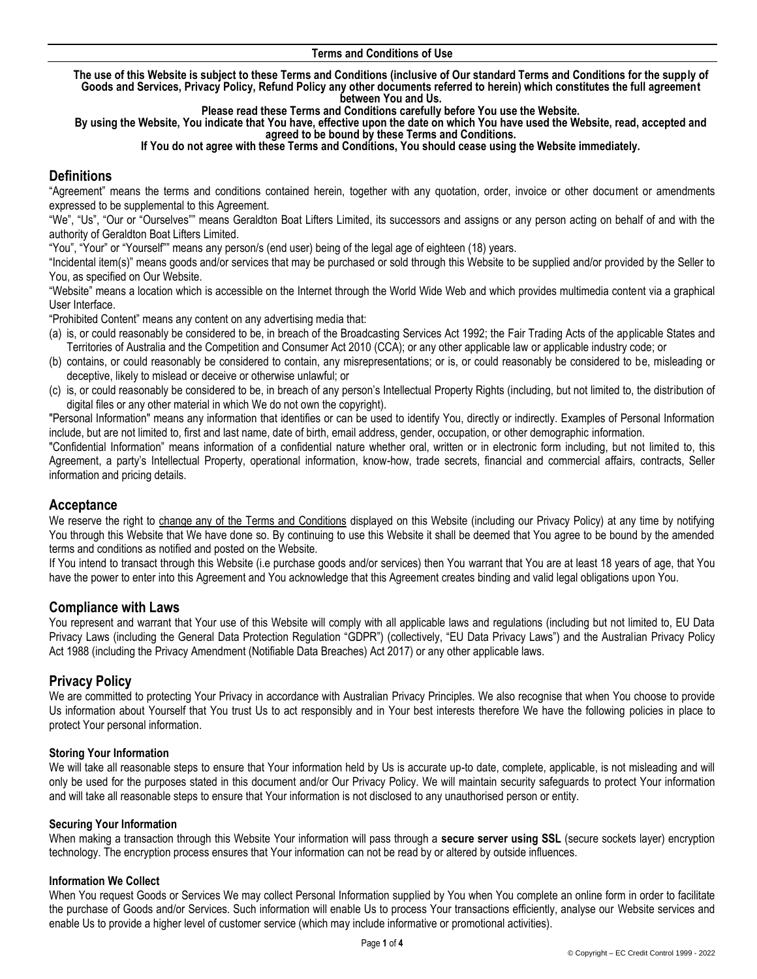#### **Terms and Conditions of Use**

**The use of this Website is subject to these Terms and Conditions (inclusive of Our standard Terms and Conditions for the supply of Goods and Services, Privacy Policy, Refund Policy any other documents referred to herein) which constitutes the full agreement between You and Us.** 

**Please read these Terms and Conditions carefully before You use the Website.** 

**By using the Website, You indicate that You have, effective upon the date on which You have used the Website, read, accepted and agreed to be bound by these Terms and Conditions.**

#### **If You do not agree with these Terms and Conditions, You should cease using the Website immediately.**

# **Definitions**

"Agreement" means the terms and conditions contained herein, together with any quotation, order, invoice or other document or amendments expressed to be supplemental to this Agreement.

"We", "Us", "Our or "Ourselves"" means Geraldton Boat Lifters Limited, its successors and assigns or any person acting on behalf of and with the authority of Geraldton Boat Lifters Limited.

"You", "Your" or "Yourself"" means any person/s (end user) being of the legal age of eighteen (18) years.

"Incidental item(s)" means goods and/or services that may be purchased or sold through this Website to be supplied and/or provided by the Seller to You, as specified on Our Website.

"Website" means a location which is accessible on the Internet through the World Wide Web and which provides multimedia content via a graphical User Interface.

"Prohibited Content" means any content on any advertising media that:

- (a) is, or could reasonably be considered to be, in breach of the Broadcasting Services Act 1992; the Fair Trading Acts of the applicable States and Territories of Australia and the Competition and Consumer Act 2010 (CCA); or any other applicable law or applicable industry code; or
- (b) contains, or could reasonably be considered to contain, any misrepresentations; or is, or could reasonably be considered to be, misleading or deceptive, likely to mislead or deceive or otherwise unlawful; or
- (c) is, or could reasonably be considered to be, in breach of any person's Intellectual Property Rights (including, but not limited to, the distribution of digital files or any other material in which We do not own the copyright).

"Personal Information" means any information that identifies or can be used to identify You, directly or indirectly. Examples of Personal Information include, but are not limited to, first and last name, date of birth, email address, gender, occupation, or other demographic information.

"Confidential Information" means information of a confidential nature whether oral, written or in electronic form including, but not limited to, this Agreement, a party's Intellectual Property, operational information, know-how, trade secrets, financial and commercial affairs, contracts, Seller information and pricing details.

### **Acceptance**

We reserve the right to change any of the Terms and Conditions displayed on this Website (including our Privacy Policy) at any time by notifying You through this Website that We have done so. By continuing to use this Website it shall be deemed that You agree to be bound by the amended terms and conditions as notified and posted on the Website.

If You intend to transact through this Website (i.e purchase goods and/or services) then You warrant that You are at least 18 years of age, that You have the power to enter into this Agreement and You acknowledge that this Agreement creates binding and valid legal obligations upon You.

### **Compliance with Laws**

You represent and warrant that Your use of this Website will comply with all applicable laws and regulations (including but not limited to, EU Data Privacy Laws (including the General Data Protection Regulation "GDPR") (collectively, "EU Data Privacy Laws") and the Australian Privacy Policy Act 1988 (including the Privacy Amendment (Notifiable Data Breaches) Act 2017) or any other applicable laws.

### **Privacy Policy**

We are committed to protecting Your Privacy in accordance with Australian Privacy Principles. We also recognise that when You choose to provide Us information about Yourself that You trust Us to act responsibly and in Your best interests therefore We have the following policies in place to protect Your personal information.

#### **Storing Your Information**

We will take all reasonable steps to ensure that Your information held by Us is accurate up-to date, complete, applicable, is not misleading and will only be used for the purposes stated in this document and/or Our Privacy Policy. We will maintain security safeguards to protect Your information and will take all reasonable steps to ensure that Your information is not disclosed to any unauthorised person or entity.

#### **Securing Your Information**

When making a transaction through this Website Your information will pass through a **secure server using SSL** (secure sockets layer) encryption technology. The encryption process ensures that Your information can not be read by or altered by outside influences.

#### **Information We Collect**

When You request Goods or Services We may collect Personal Information supplied by You when You complete an online form in order to facilitate the purchase of Goods and/or Services. Such information will enable Us to process Your transactions efficiently, analyse our Website services and enable Us to provide a higher level of customer service (which may include informative or promotional activities).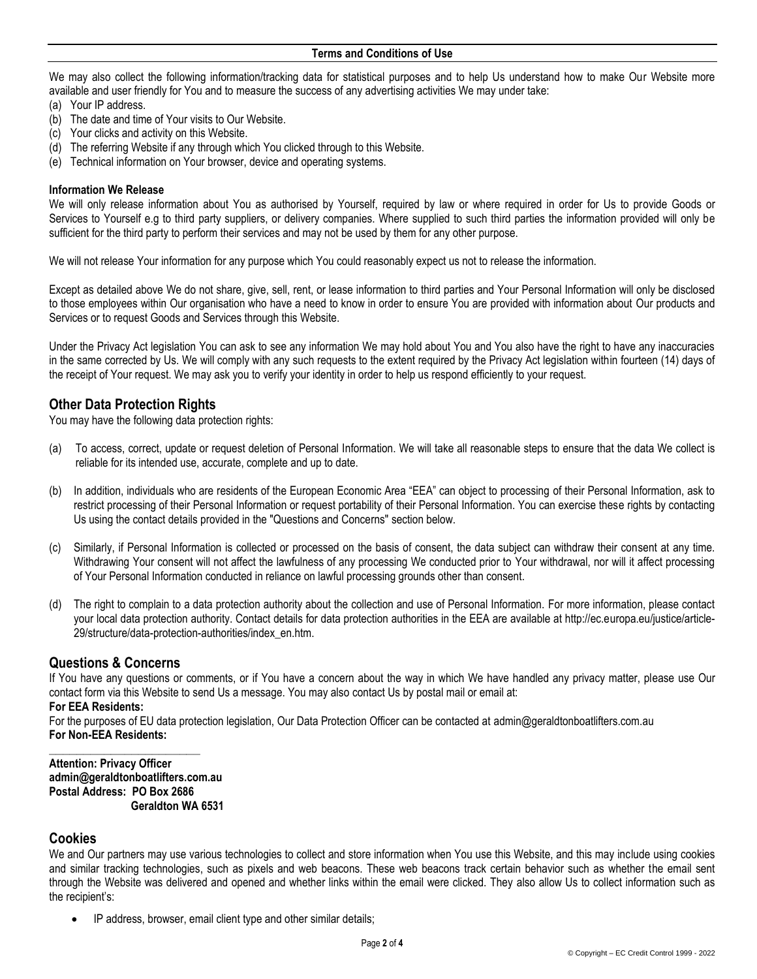#### **Terms and Conditions of Use**

We may also collect the following information/tracking data for statistical purposes and to help Us understand how to make Our Website more available and user friendly for You and to measure the success of any advertising activities We may under take:

- (a) Your IP address.
- (b) The date and time of Your visits to Our Website.
- (c) Your clicks and activity on this Website.
- (d) The referring Website if any through which You clicked through to this Website.
- (e) Technical information on Your browser, device and operating systems.

#### **Information We Release**

We will only release information about You as authorised by Yourself, required by law or where required in order for Us to provide Goods or Services to Yourself e.g to third party suppliers, or delivery companies. Where supplied to such third parties the information provided will only be sufficient for the third party to perform their services and may not be used by them for any other purpose.

We will not release Your information for any purpose which You could reasonably expect us not to release the information.

Except as detailed above We do not share, give, sell, rent, or lease information to third parties and Your Personal Information will only be disclosed to those employees within Our organisation who have a need to know in order to ensure You are provided with information about Our products and Services or to request Goods and Services through this Website.

Under the Privacy Act legislation You can ask to see any information We may hold about You and You also have the right to have any inaccuracies in the same corrected by Us. We will comply with any such requests to the extent required by the Privacy Act legislation within fourteen (14) days of the receipt of Your request. We may ask you to verify your identity in order to help us respond efficiently to your request.

### **Other Data Protection Rights**

You may have the following data protection rights:

- (a) To access, correct, update or request deletion of Personal Information. We will take all reasonable steps to ensure that the data We collect is reliable for its intended use, accurate, complete and up to date.
- (b) In addition, individuals who are residents of the European Economic Area "EEA" can object to processing of their Personal Information, ask to restrict processing of their Personal Information or request portability of their Personal Information. You can exercise these rights by contacting Us using the contact details provided in the "Questions and Concerns" section below.
- (c) Similarly, if Personal Information is collected or processed on the basis of consent, the data subject can withdraw their consent at any time. Withdrawing Your consent will not affect the lawfulness of any processing We conducted prior to Your withdrawal, nor will it affect processing of Your Personal Information conducted in reliance on lawful processing grounds other than consent.
- (d) The right to complain to a data protection authority about the collection and use of Personal Information. For more information, please contact your local data protection authority. Contact details for data protection authorities in the EEA are available at http://ec.europa.eu/justice/article-29/structure/data-protection-authorities/index\_en.htm.

### **Questions & Concerns**

If You have any questions or comments, or if You have a concern about the way in which We have handled any privacy matter, please use Our [contact form](https://mailchimp.com/contact/) via this Website to send Us a message. You may also contact Us by postal mail or email at:

### **For EEA Residents:**

For the purposes of EU data protection legislation, Our Data Protection Officer can be contacted at admin@geraldtonboatlifters.com.au **For Non-EEA Residents:**

**Attention: Privacy Officer admin@geraldtonboatlifters.com.au Postal Address: PO Box 2686 Geraldton WA 6531**

**\_\_\_\_\_\_\_\_\_\_\_\_\_\_\_\_\_\_\_\_\_\_**

#### **Cookies**

We and Our partners may use various technologies to collect and store information when You use this Website, and this may include using cookies and similar tracking technologies, such as pixels and web beacons. These web beacons track certain behavior such as whether the email sent through the Website was delivered and opened and whether links within the email were clicked. They also allow Us to collect information such as the recipient's:

• IP address, browser, email client type and other similar details;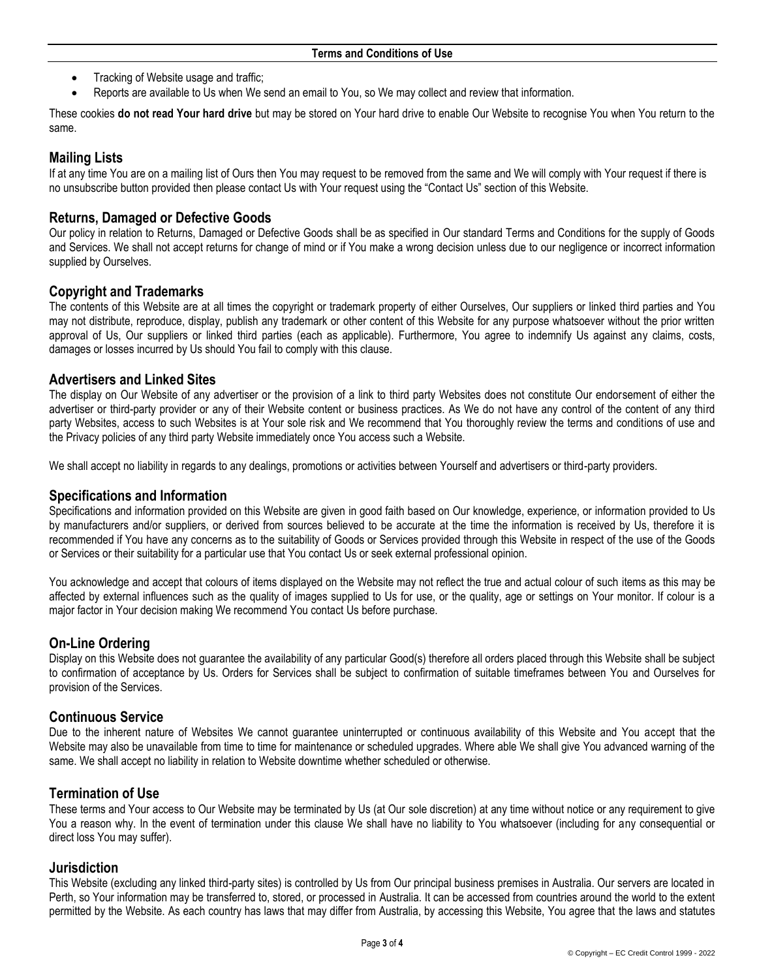- Tracking of Website usage and traffic;
- Reports are available to Us when We send an email to You, so We may collect and review that information.

These cookies **do not read Your hard drive** but may be stored on Your hard drive to enable Our Website to recognise You when You return to the same.

# **Mailing Lists**

If at any time You are on a mailing list of Ours then You may request to be removed from the same and We will comply with Your request if there is no unsubscribe button provided then please contact Us with Your request using the "Contact Us" section of this Website.

# **Returns, Damaged or Defective Goods**

Our policy in relation to Returns, Damaged or Defective Goods shall be as specified in Our standard Terms and Conditions for the supply of Goods and Services. We shall not accept returns for change of mind or if You make a wrong decision unless due to our negligence or incorrect information supplied by Ourselves.

## **Copyright and Trademarks**

The contents of this Website are at all times the copyright or trademark property of either Ourselves, Our suppliers or linked third parties and You may not distribute, reproduce, display, publish any trademark or other content of this Website for any purpose whatsoever without the prior written approval of Us, Our suppliers or linked third parties (each as applicable). Furthermore, You agree to indemnify Us against any claims, costs, damages or losses incurred by Us should You fail to comply with this clause.

### **Advertisers and Linked Sites**

The display on Our Website of any advertiser or the provision of a link to third party Websites does not constitute Our endorsement of either the advertiser or third-party provider or any of their Website content or business practices. As We do not have any control of the content of any third party Websites, access to such Websites is at Your sole risk and We recommend that You thoroughly review the terms and conditions of use and the Privacy policies of any third party Website immediately once You access such a Website.

We shall accept no liability in regards to any dealings, promotions or activities between Yourself and advertisers or third-party providers.

### **Specifications and Information**

Specifications and information provided on this Website are given in good faith based on Our knowledge, experience, or information provided to Us by manufacturers and/or suppliers, or derived from sources believed to be accurate at the time the information is received by Us, therefore it is recommended if You have any concerns as to the suitability of Goods or Services provided through this Website in respect of the use of the Goods or Services or their suitability for a particular use that You contact Us or seek external professional opinion.

You acknowledge and accept that colours of items displayed on the Website may not reflect the true and actual colour of such items as this may be affected by external influences such as the quality of images supplied to Us for use, or the quality, age or settings on Your monitor. If colour is a major factor in Your decision making We recommend You contact Us before purchase.

# **On-Line Ordering**

Display on this Website does not guarantee the availability of any particular Good(s) therefore all orders placed through this Website shall be subject to confirmation of acceptance by Us. Orders for Services shall be subject to confirmation of suitable timeframes between You and Ourselves for provision of the Services.

### **Continuous Service**

Due to the inherent nature of Websites We cannot guarantee uninterrupted or continuous availability of this Website and You accept that the Website may also be unavailable from time to time for maintenance or scheduled upgrades. Where able We shall give You advanced warning of the same. We shall accept no liability in relation to Website downtime whether scheduled or otherwise.

### **Termination of Use**

These terms and Your access to Our Website may be terminated by Us (at Our sole discretion) at any time without notice or any requirement to give You a reason why. In the event of termination under this clause We shall have no liability to You whatsoever (including for any consequential or direct loss You may suffer).

### **Jurisdiction**

This Website (excluding any linked third-party sites) is controlled by Us from Our principal business premises in Australia. Our servers are located in Perth, so Your information may be transferred to, stored, or processed in Australia. It can be accessed from countries around the world to the extent permitted by the Website. As each country has laws that may differ from Australia, by accessing this Website, You agree that the laws and statutes